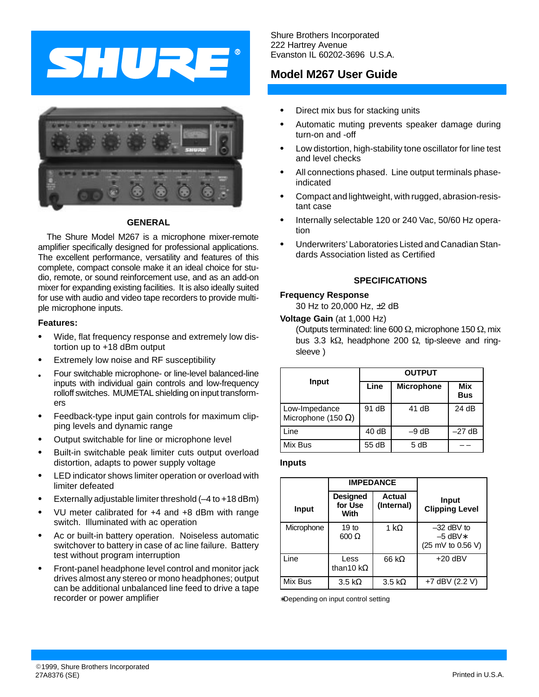



## **GENERAL**

The Shure Model M267 is a microphone mixer-remote amplifier specifically designed for professional applications. The excellent performance, versatility and features of this complete, compact console make it an ideal choice for studio, remote, or sound reinforcement use, and as an add-on mixer for expanding existing facilities. It is also ideally suited for use with audio and video tape recorders to provide multiple microphone inputs.

### **Features:**

- $\bullet$  Wide, flat frequency response and extremely low distortion up to +18 dBm output
- $\bullet$ Extremely low noise and RF susceptibility
- . Four switchable microphone- or line-level balanced-line inputs with individual gain controls and low-frequency rolloff switches. MUMETAL shielding on input transformers
- $\bullet$  Feedback-type input gain controls for maximum clipping levels and dynamic range
- $\bullet$ Output switchable for line or microphone level
- $\bullet$  Built-in switchable peak limiter cuts output overload distortion, adapts to power supply voltage
- $\bullet$  LED indicator shows limiter operation or overload with limiter defeated
- $\bullet$ Externally adjustable limiter threshold (–4 to +18 dBm)
- $\bullet$  VU meter calibrated for +4 and +8 dBm with range switch. Illuminated with ac operation
- $\bullet$  Ac or built-in battery operation. Noiseless automatic switchover to battery in case of ac line failure. Battery test without program interruption
- $\bullet$  Front-panel headphone level control and monitor jack drives almost any stereo or mono headphones; output can be additional unbalanced line feed to drive a tape recorder or power amplifier

Shure Brothers Incorporated 222 Hartrey Avenue Evanston IL 60202-3696 U.S.A.

## **Model M267 User Guide**

- $\bullet$ Direct mix bus for stacking units
- $\bullet$  Automatic muting prevents speaker damage during turn-on and -off
- $\bullet$  Low distortion, high-stability tone oscillator for line test and level checks
- $\bullet$  All connections phased. Line output terminals phaseindicated
- $\bullet$  Compact and lightweight, with rugged, abrasion-resistant case
- $\bullet$  Internally selectable 120 or 240 Vac, 50/60 Hz operation
- $\bullet$  Underwriters' Laboratories Listed and Canadian Standards Association listed as Certified

## **SPECIFICATIONS**

## **Frequency Response**

30 Hz to 20,000 Hz, ±2 dB

**Voltage Gain** (at 1,000 Hz)

(Outputs terminated: line 600  $\Omega$ , microphone 150  $\Omega$ , mix bus 3.3 k $\Omega$ , headphone 200  $\Omega$ , tip-sleeve and ringsleeve )

|                                             | <b>OUTPUT</b> |                   |                   |  |
|---------------------------------------------|---------------|-------------------|-------------------|--|
| Input                                       | Line          | <b>Microphone</b> | Mix<br><b>Bus</b> |  |
| Low-Impedance<br>Microphone (150 $\Omega$ ) | 91 dB         | 41 dB             | 24 dB             |  |
| Line                                        | 40dB          | $-9$ dB           | $-27$ dB          |  |
| Mix Bus                                     | 55 dB         | 5 dB              |                   |  |

#### **Inputs**

|              | <b>IMPEDANCE</b>                   |                       |                                                |
|--------------|------------------------------------|-----------------------|------------------------------------------------|
| <b>Input</b> | <b>Designed</b><br>for Use<br>With | Actual<br>(Internal)  | <b>Input</b><br><b>Clipping Level</b>          |
| Microphone   | 19 <sub>to</sub><br>$600 \Omega$   | 1 k $\Omega$          | $-32$ dBV to<br>$-5$ dBV*<br>(25 mV to 0.56 V) |
| Line         | Less<br>than 10 k $\Omega$         | 66 k $\Omega$         | $+20$ dBV                                      |
| Mix Bus      | $3.5 \text{ k}\Omega$              | $3.5 \text{ k}\Omega$ | +7 dBV (2.2 V)                                 |

∗Depending on input control setting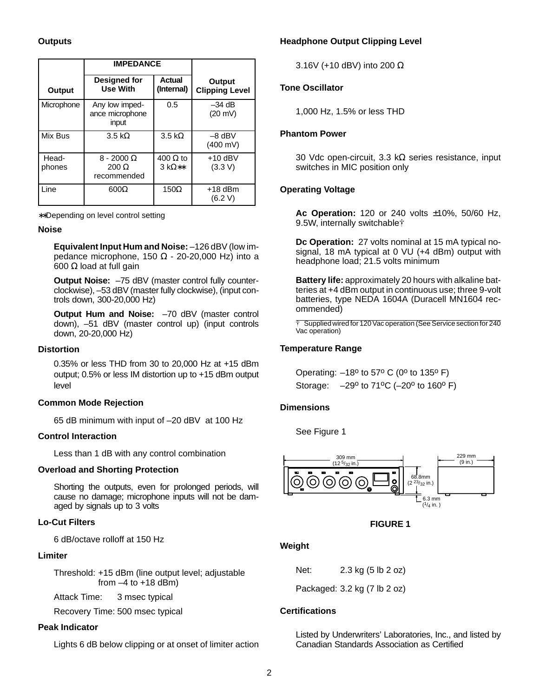## **Outputs**

|                 | <b>IMPEDANCE</b>                                 |                                  |                                 |
|-----------------|--------------------------------------------------|----------------------------------|---------------------------------|
| Output          | <b>Designed for</b><br><b>Use With</b>           | <b>Actual</b><br>(Internal)      | Output<br><b>Clipping Level</b> |
| Microphone      | Any low imped-<br>ance microphone<br>input       | 0.5                              | $-34$ dB<br>$(20 \text{ mV})$   |
| Mix Bus         | $3.5 \text{ k}\Omega$                            | $3.5 \text{ k}\Omega$            | $-8$ dBV<br>$(400 \text{ mV})$  |
| Head-<br>phones | $8 - 2000 \Omega$<br>$200 \Omega$<br>recommended | $400 \Omega$ to<br>$3 k\Omega**$ | $+10$ dBV<br>(3.3 V)            |
| Line            | $600\Omega$                                      | $150\Omega$                      | $+18$ dBm<br>(6.2 V)            |

∗∗Depending on level control setting

#### **Noise**

**Equivalent Input Hum and Noise:** –126 dBV (low impedance microphone, 150 Ω - 20-20,000 Hz) into a 600 Ω load at full gain

**Output Noise:** –75 dBV (master control fully counterclockwise), –53 dBV (master fully clockwise), (input controls down, 300-20,000 Hz)

**Output Hum and Noise:** –70 dBV (master control down), –51 dBV (master control up) (input controls down, 20-20,000 Hz)

## **Distortion**

0.35% or less THD from 30 to 20,000 Hz at +15 dBm output; 0.5% or less IM distortion up to +15 dBm output level

## **Common Mode Rejection**

65 dB minimum with input of –20 dBV at 100 Hz

## **Control Interaction**

Less than 1 dB with any control combination

## **Overload and Shorting Protection**

Shorting the outputs, even for prolonged periods, will cause no damage; microphone inputs will not be damaged by signals up to 3 volts

## **Lo-Cut Filters**

6 dB/octave rolloff at 150 Hz

## **Limiter**

Threshold: +15 dBm (line output level; adjustable from  $-4$  to  $+18$  dBm)

Attack Time: 3 msec typical

Recovery Time: 500 msec typical

## **Peak Indicator**

Lights 6 dB below clipping or at onset of limiter action

## **Headphone Output Clipping Level**

3.16V (+10 dBV) into 200 Ω

## **Tone Oscillator**

1,000 Hz, 1.5% or less THD

## **Phantom Power**

30 Vdc open-circuit, 3.3 kΩ series resistance, input switches in MIC position only

## **Operating Voltage**

**Ac Operation:** 120 or 240 volts ±10%, 50/60 Hz, 9.5W, internally switchable<sup>†</sup>

**Dc Operation:** 27 volts nominal at 15 mA typical nosignal, 18 mA typical at 0 VU (+4 dBm) output with headphone load; 21.5 volts minimum

**Battery life:** approximately 20 hours with alkaline batteries at +4 dBm output in continuous use; three 9-volt batteries, type NEDA 1604A (Duracell MN1604 recommended)

Supplied wired for 120 Vac operation (See Service section for 240 Vac operation)

## **Temperature Range**

Operating:  $-18^{\circ}$  to 57° C (0° to 135° F) Storage:  $-29^{\circ}$  to 71<sup>o</sup>C (-20<sup>o</sup> to 160<sup>o</sup> F)

## **Dimensions**

See Figure 1



## **FIGURE 1**

## **Weight**

Net: 2.3 kg (5 lb 2 oz)

Packaged: 3.2 kg (7 lb 2 oz)

## **Certifications**

Listed by Underwriters' Laboratories, Inc., and listed by Canadian Standards Association as Certified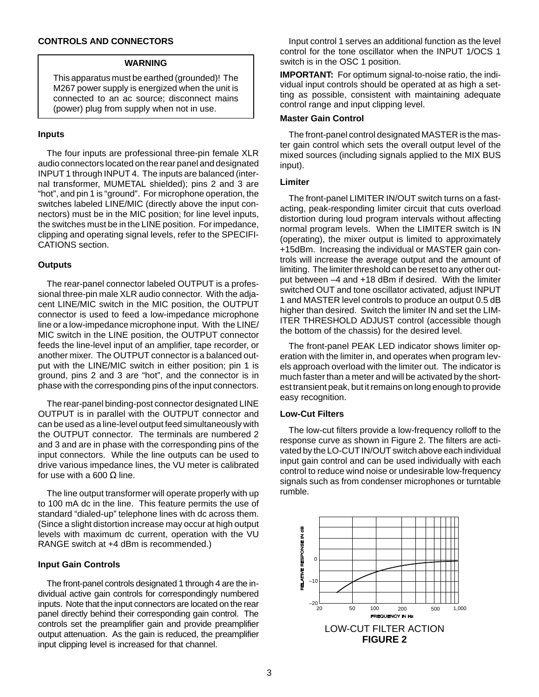## **CONTROLS AND CONNECTORS**

#### **WARNING**

This apparatus must be earthed (grounded)! The M267 power supply is energized when the unit is connected to an ac source; disconnect mains (power) plug from supply when not in use.

#### **Inputs**

The four inputs are professional three-pin female XLR audio connectors located on the rear panel and designated INPUT 1 through INPUT 4. The inputs are balanced (internal transformer, MUMETAL shielded); pins 2 and 3 are "hot", and pin 1 is "ground". For microphone operation, the switches labeled LINE/MIC (directly above the input connectors) must be in the MIC position; for line level inputs, the switches must be in the LINE position. For impedance, clipping and operating signal levels, refer to the SPECIFI-CATIONS section.

#### **Outputs**

The rear-panel connector labeled OUTPUT is a professional three-pin male XLR audio connector. With the adjacent LINE/MIC switch in the MIC position, the OUTPUT connector is used to feed a low-impedance microphone line or a low-impedance microphone input. With the LINE/ MIC switch in the LINE position, the OUTPUT connector feeds the line-level input of an amplifier, tape recorder, or another mixer. The OUTPUT connector is a balanced output with the LINE/MIC switch in either position; pin 1 is ground, pins 2 and 3 are "hot", and the connector is in phase with the corresponding pins of the input connectors.

The rear-panel binding-post connector designated LINE OUTPUT is in parallel with the OUTPUT connector and can be used as a line-level output feed simultaneously with the OUTPUT connector. The terminals are numbered 2 and 3 and are in phase with the corresponding pins of the input connectors. While the line outputs can be used to drive various impedance lines, the VU meter is calibrated for use with a 600  $\Omega$  line.

The line output transformer will operate properly with up to 100 mA dc in the line. This feature permits the use of standard "dialed-up" telephone lines with dc across them. (Since a slight distortion increase may occur at high output levels with maximum dc current, operation with the VU RANGE switch at +4 dBm is recommended.)

#### **Input Gain Controls**

The front-panel controls designated 1 through 4 are the individual active gain controls for correspondingly numbered inputs. Note that the input connectors are located on the rear panel directly behind their corresponding gain control. The controls set the preamplifier gain and provide preamplifier output attenuation. As the gain is reduced, the preamplifier input clipping level is increased for that channel.

Input control 1 serves an additional function as the level control for the tone oscillator when the INPUT 1/OCS 1 switch is in the OSC 1 position.

**IMPORTANT:** For optimum signal-to-noise ratio, the individual input controls should be operated at as high a setting as possible, consistent with maintaining adequate control range and input clipping level.

## **Master Gain Control**

The front-panel control designated MASTER is the master gain control which sets the overall output level of the mixed sources (including signals applied to the MIX BUS input).

### **Limiter**

The front-panel LIMITER IN/OUT switch turns on a fastacting, peak-responding limiter circuit that cuts overload distortion during loud program intervals without affecting normal program levels. When the LIMITER switch is IN (operating), the mixer output is limited to approximately +15dBm. Increasing the individual or MASTER gain controls will increase the average output and the amount of limiting. The limiter threshold can be reset to any other output between –4 and +18 dBm if desired. With the limiter switched OUT and tone oscillator activated, adjust INPUT 1 and MASTER level controls to produce an output 0.5 dB higher than desired. Switch the limiter IN and set the LIM-ITER THRESHOLD ADJUST control (accessible though the bottom of the chassis) for the desired level.

The front-panel PEAK LED indicator shows limiter operation with the limiter in, and operates when program levels approach overload with the limiter out. The indicator is much faster than a meter and will be activated by the shortest transient peak, but it remains on long enough to provide easy recognition.

#### **Low-Cut Filters**

The low-cut filters provide a low-frequency rolloff to the response curve as shown in Figure 2. The filters are activated by the LO-CUT IN/OUT switch above each individual input gain control and can be used individually with each control to reduce wind noise or undesirable low-frequency signals such as from condenser microphones or turntable rumble.

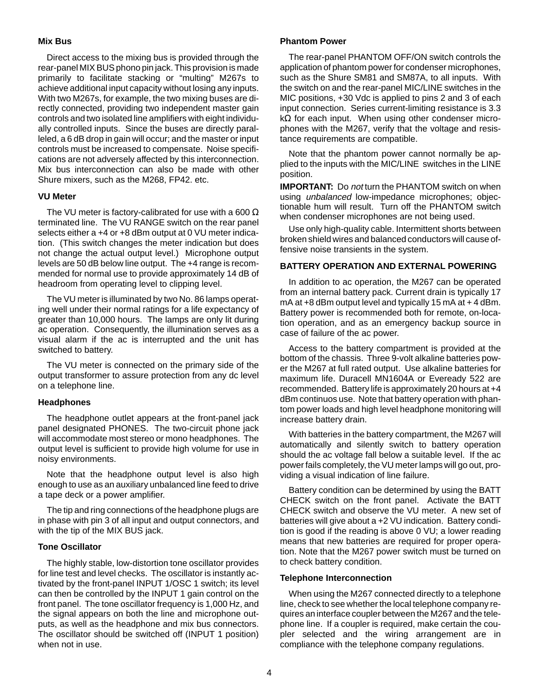## **Mix Bus**

Direct access to the mixing bus is provided through the rear-panel MIX BUS phono pin jack. This provision is made primarily to facilitate stacking or "multing" M267s to achieve additional input capacity without losing any inputs. With two M267s, for example, the two mixing buses are directly connected, providing two independent master gain controls and two isolated line amplifiers with eight individually controlled inputs. Since the buses are directly paralleled, a 6 dB drop in gain will occur; and the master or input controls must be increased to compensate. Noise specifications are not adversely affected by this interconnection. Mix bus interconnection can also be made with other Shure mixers, such as the M268, FP42. etc.

## **VU Meter**

The VU meter is factory-calibrated for use with a 600  $\Omega$ terminated line. The VU RANGE switch on the rear panel selects either a +4 or +8 dBm output at 0 VU meter indication. (This switch changes the meter indication but does not change the actual output level.) Microphone output levels are 50 dB below line output. The +4 range is recommended for normal use to provide approximately 14 dB of headroom from operating level to clipping level.

The VU meter is illuminated by two No. 86 lamps operating well under their normal ratings for a life expectancy of greater than 10,000 hours. The lamps are only lit during ac operation. Consequently, the illumination serves as a visual alarm if the ac is interrupted and the unit has switched to battery.

The VU meter is connected on the primary side of the output transformer to assure protection from any dc level on a telephone line.

## **Headphones**

The headphone outlet appears at the front-panel jack panel designated PHONES. The two-circuit phone jack will accommodate most stereo or mono headphones. The output level is sufficient to provide high volume for use in noisy environments.

Note that the headphone output level is also high enough to use as an auxiliary unbalanced line feed to drive a tape deck or a power amplifier.

The tip and ring connections of the headphone plugs are in phase with pin 3 of all input and output connectors, and with the tip of the MIX BUS jack.

## **Tone Oscillator**

The highly stable, low-distortion tone oscillator provides for line test and level checks. The oscillator is instantly activated by the front-panel INPUT 1/OSC 1 switch; its level can then be controlled by the INPUT 1 gain control on the front panel. The tone oscillator frequency is 1,000 Hz, and the signal appears on both the line and microphone outputs, as well as the headphone and mix bus connectors. The oscillator should be switched off (INPUT 1 position) when not in use.

## **Phantom Power**

The rear-panel PHANTOM OFF/ON switch controls the application of phantom power for condenser microphones, such as the Shure SM81 and SM87A, to all inputs. With the switch on and the rear-panel MIC/LINE switches in the MIC positions, +30 Vdc is applied to pins 2 and 3 of each input connection. Series current-limiting resistance is 3.3 kΩ for each input. When using other condenser microphones with the M267, verify that the voltage and resistance requirements are compatible.

Note that the phantom power cannot normally be applied to the inputs with the MIC/LINE switches in the LINE position.

**IMPORTANT:** Do not turn the PHANTOM switch on when using unbalanced low-impedance microphones; objectionable hum will result. Turn off the PHANTOM switch when condenser microphones are not being used.

Use only high-quality cable. Intermittent shorts between broken shield wires and balanced conductors will cause offensive noise transients in the system.

## **BATTERY OPERATION AND EXTERNAL POWERING**

In addition to ac operation, the M267 can be operated from an internal battery pack. Current drain is typically 17  $mA$  at  $+8$  dBm output level and typically 15 mA at  $+4$  dBm. Battery power is recommended both for remote, on-location operation, and as an emergency backup source in case of failure of the ac power.

Access to the battery compartment is provided at the bottom of the chassis. Three 9-volt alkaline batteries power the M267 at full rated output. Use alkaline batteries for maximum life. Duracell MN1604A or Eveready 522 are recommended. Battery life is approximately 20 hours at +4 dBm continuos use. Note that battery operation with phantom power loads and high level headphone monitoring will increase battery drain.

With batteries in the battery compartment, the M267 will automatically and silently switch to battery operation should the ac voltage fall below a suitable level. If the ac power fails completely, the VU meter lamps will go out, providing a visual indication of line failure.

Battery condition can be determined by using the BATT CHECK switch on the front panel. Activate the BATT CHECK switch and observe the VU meter. A new set of batteries will give about a +2 VU indication. Battery condition is good if the reading is above 0 VU; a lower reading means that new batteries are required for proper operation. Note that the M267 power switch must be turned on to check battery condition.

## **Telephone Interconnection**

When using the M267 connected directly to a telephone line, check to see whether the local telephone company requires an interface coupler between the M267 and the telephone line. If a coupler is required, make certain the coupler selected and the wiring arrangement are in compliance with the telephone company regulations.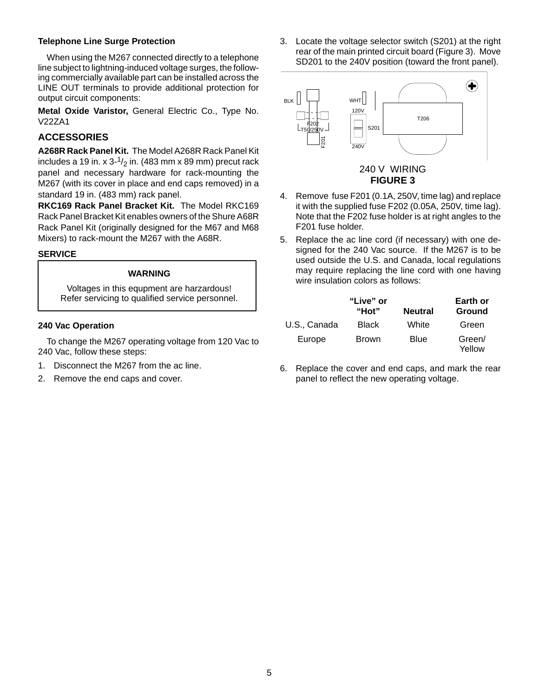## **Telephone Line Surge Protection**

When using the M267 connected directly to a telephone line subject to lightning-induced voltage surges, the following commercially available part can be installed across the LINE OUT terminals to provide additional protection for output circuit components:

**Metal Oxide Varistor,** General Electric Co., Type No. V22ZA1

## **ACCESSORIES**

**A268R Rack Panel Kit.** The Model A268R Rack Panel Kit includes a 19 in. x  $3\frac{1}{2}$  in. (483 mm x 89 mm) precut rack panel and necessary hardware for rack-mounting the M267 (with its cover in place and end caps removed) in a standard 19 in. (483 mm) rack panel.

**RKC169 Rack Panel Bracket Kit.** The Model RKC169 Rack Panel Bracket Kit enables owners of the Shure A68R Rack Panel Kit (originally designed for the M67 and M68 Mixers) to rack-mount the M267 with the A68R.

## **SERVICE**

## **WARNING**

Voltages in this equpment are harzardous! Refer servicing to qualified service personnel.

## **240 Vac Operation**

To change the M267 operating voltage from 120 Vac to 240 Vac, follow these steps:

- 1. Disconnect the M267 from the ac line.
- 2. Remove the end caps and cover.

3. Locate the voltage selector switch (S201) at the right rear of the main printed circuit board (Figure 3). Move SD201 to the 240V position (toward the front panel).



**FIGURE 3**

- 4. Remove fuse F201 (0.1A, 250V, time lag) and replace it with the supplied fuse F202 (0.05A, 250V, time lag). Note that the F202 fuse holder is at right angles to the F201 fuse holder.
- 5. Replace the ac line cord (if necessary) with one designed for the 240 Vac source. If the M267 is to be used outside the U.S. and Canada, local regulations may require replacing the line cord with one having wire insulation colors as follows:

|              | "Live" or<br>"Hot" | <b>Neutral</b> | Earth or<br>Ground |
|--------------|--------------------|----------------|--------------------|
| U.S., Canada | <b>Black</b>       | White          | Green              |
| Europe       | <b>Brown</b>       | Blue           | Green/<br>Yellow   |

6. Replace the cover and end caps, and mark the rear panel to reflect the new operating voltage.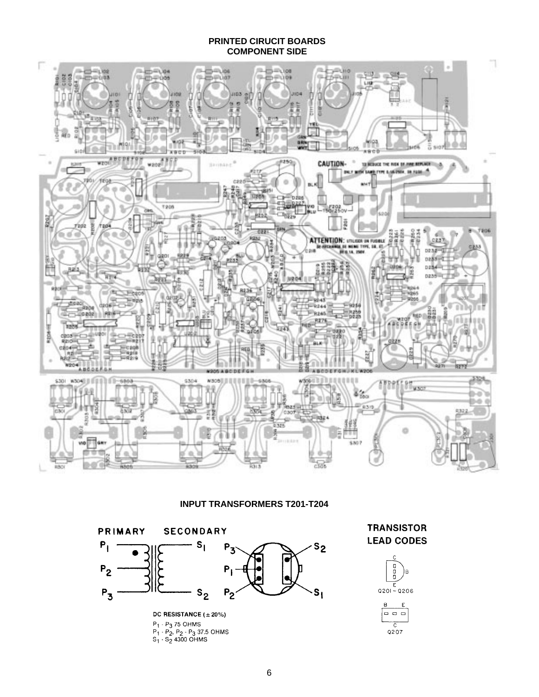#### **PRINTED CIRUCIT BOARDS COMPONENT SIDE**



**INPUT TRANSFORMERS T201-T204**



 $P_1 \cdot P_2$ ,  $P_2 \cdot P_3$  37.5 OHMS<br>S<sub>1</sub> · S<sub>2</sub> 4300 OHMS

**TRANSISTOR LEAD CODES** 



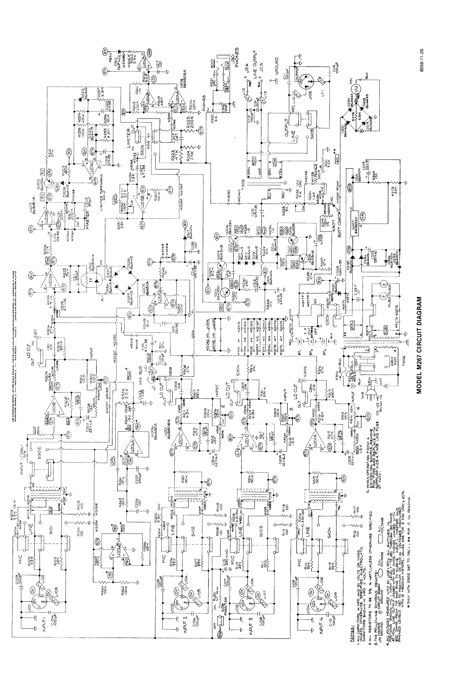

8059-11-20